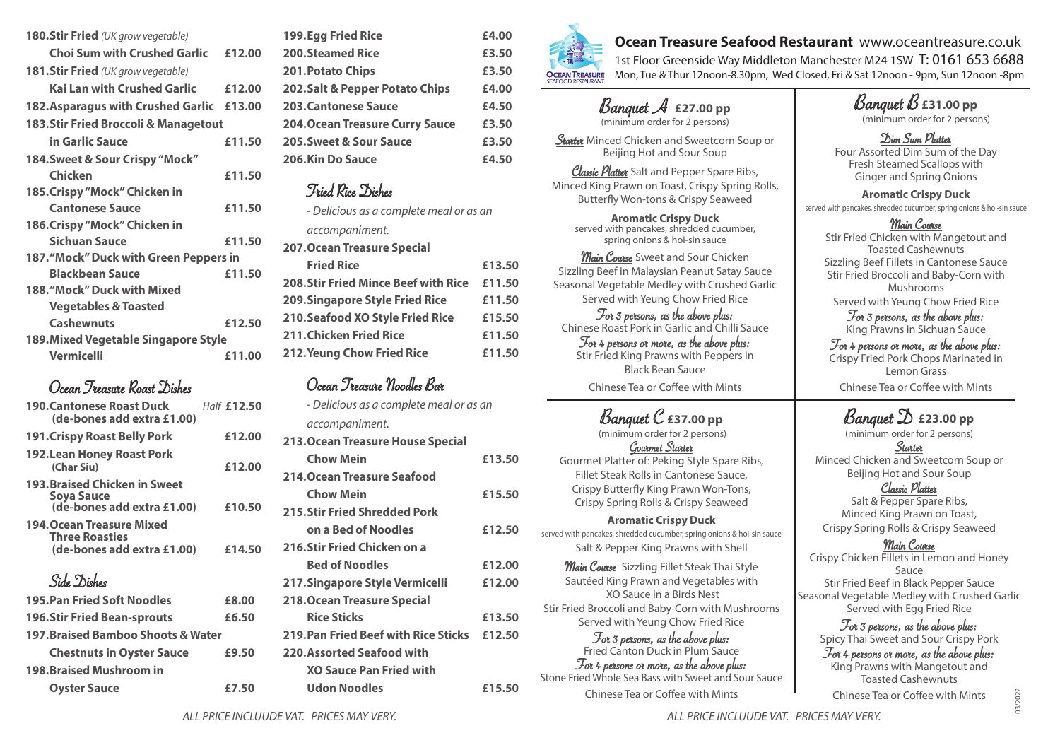| 180.Stir Fried (UK grow vegetable)          |        |  |
|---------------------------------------------|--------|--|
| <b>Choi Sum with Crushed Garlic</b>         | £12.00 |  |
| <b>181.Stir Fried</b> (UK grow vegetable)   |        |  |
| <b>Kai Lan with Crushed Garlic</b>          | £12.00 |  |
| 182. Asparagus with Crushed Garlic          | £13.00 |  |
| 183. Stir Fried Broccoli & Managetout       |        |  |
| in Garlic Sauce                             | £11.50 |  |
| 184. Sweet & Sour Crispy "Mock"             |        |  |
| Chicken                                     | £11.50 |  |
| 185. Crispy "Mock" Chicken in               |        |  |
| <b>Cantonese Sauce</b>                      | £11.50 |  |
| 186. Crispy "Mock" Chicken in               |        |  |
| <b>Sichuan Sauce</b>                        | £11.50 |  |
| 187."Mock" Duck with Green Peppers in       |        |  |
| <b>Blackbean Sauce</b>                      | £11.50 |  |
| 188. "Mock" Duck with Mixed                 |        |  |
| <b>Vegetables &amp; Toasted</b>             |        |  |
| <b>Cashewnuts</b>                           | £12.50 |  |
| <b>189. Mixed Vegetable Singapore Style</b> |        |  |
| <b>Vermicelli</b>                           | £11.00 |  |

## Ocean Treasure Roast Dishes

| <b>190. Cantonese Roast Duck</b><br>(de-bones add extra £1.00)                          | Half £12.50 |
|-----------------------------------------------------------------------------------------|-------------|
| <b>191. Crispy Roast Belly Pork</b>                                                     | £12.00      |
| <b>192.Lean Honey Roast Pork</b><br>(Char Siu)                                          | £12.00      |
| <b>193. Braised Chicken in Sweet</b><br>Soya Sauce<br>(de-bones add extra £1.00)        | £10.50      |
| <b>194. Ocean Treasure Mixed</b><br><b>Three Roasties</b><br>(de-bones add extra £1.00) | £14.50      |
| Side Dishes                                                                             |             |
| <b>195. Pan Fried Soft Noodles</b>                                                      | £8.00       |

| <u>ide-pones add extra £1.00)</u>  | 214.OU | 4 IV.JUI I IITU JI |
|------------------------------------|--------|--------------------|
|                                    |        | <b>Bed of Noo</b>  |
| Side Dishes                        |        | 217.Singapore 9    |
| <b>195. Pan Fried Soft Noodles</b> | £8.00  | 218. Ocean Treas   |
| <b>196.Stir Fried Bean-sprouts</b> | £6.50  | <b>Rice Sticks</b> |
| 197. Braised Bamboo Shoots & Water |        | 219. Pan Fried B   |
| <b>Chestnuts in Oyster Sauce</b>   | £9.50  | 220. Assorted Se   |
| <b>198. Braised Mushroom in</b>    |        | <b>XO Sauce Pa</b> |
| <b>Oyster Sauce</b>                | £7.50  | <b>Udon Nood</b>   |

| <b>199.Egg Fried Rice</b>              | £4.00 |
|----------------------------------------|-------|
| <b>200.Steamed Rice</b>                | £3.50 |
| <b>201. Potato Chips</b>               | £3.50 |
| 202. Salt & Pepper Potato Chips        | £4.00 |
| <b>203. Cantonese Sauce</b>            | £4.50 |
| <b>204. Ocean Treasure Curry Sauce</b> | £3.50 |
| 205. Sweet & Sour Sauce                | £3.50 |
| 206.Kin Do Sauce                       | £4.50 |

#### Fried Rice Dishes

*- Delicious as a complete meal or as an accompaniment.* **207.Ocean Treasure Special** 

| LOT IOCCUIT ITCUJUIC SPECIUI                |        |
|---------------------------------------------|--------|
| <b>Fried Rice</b>                           | £13.50 |
| <b>208. Stir Fried Mince Beef with Rice</b> | £11.50 |
| <b>209. Singapore Style Fried Rice</b>      | £11.50 |
| <b>210. Seafood XO Style Fried Rice</b>     | £15.50 |
| <b>211. Chicken Fried Rice</b>              | £11.50 |
| <b>212. Yeung Chow Fried Rice</b>           | £11.50 |
|                                             |        |

## Ocean Treasure Noodles Bar

| - Delicious as a complete meal or as an |        |
|-----------------------------------------|--------|
| accompaniment.                          |        |
| 213. Ocean Treasure House Special       |        |
| <b>Chow Mein</b>                        | £13.50 |
| 214. Ocean Treasure Seafood             |        |
| <b>Chow Mein</b>                        | £15.50 |
| 215. Stir Fried Shredded Pork           |        |
| on a Bed of Noodles                     | £12.50 |
| 216. Stir Fried Chicken on a            |        |
| <b>Bed of Noodles</b>                   | £12.00 |
| 217. Singapore Style Vermicelli         | £12.00 |
| <b>218. Ocean Treasure Special</b>      |        |
| <b>Rice Sticks</b>                      | £13.50 |
| 219. Pan Fried Beef with Rice Sticks    | £12.50 |
| 220. Assorted Seafood with              |        |
| <b>XO Sauce Pan Fried with</b>          |        |
| Udon Noodles                            | £15.50 |
|                                         |        |



# **Ocean Treasure Seafood Restaurant** www.oceantreasure.co.uk

1st Floor Greenside Way Middleton Manchester M24 1SW T: 0161 653 6688 Mon, Tue & Thur 12noon-8.30pm, Wed Closed, Fri & Sat 12noon - 9pm, Sun 12noon -8pm

#### Banquet A **£27.00 pp** (minimum order for 2 persons)

*Stater* Minced Chicken and Sweetcorn Soup or Beijing Hot and Sour Soup

Classic Platter Salt and Pepper Spare Ribs, Minced King Prawn on Toast, Crispy Spring Rolls, Butterfly Won-tons & Crispy Seaweed

> **Aromatic Crispy Duck** served with pancakes, shredded cucumber, spring onions & hoi-sin sauce

**Main Course** Sweet and Sour Chicken Sizzling Beef in Malaysian Peanut Satay Sauce Seasonal Vegetable Medley with Crushed Garlic Served with Yeung Chow Fried Rice

For 3 persons, as the above plus: Chinese Roast Pork in Garlic and Chilli Sauce For 4 persons or more, as the above plus: Stir Fried King Prawns with Peppers in Black Bean Sauce Chinese Tea or Coffee with Mints

# Banquet C **£37.00 pp**

 (minimum order for 2 persons) Gourmet Starter Gourmet Platter of: Peking Style Spare Ribs, Fillet Steak Rolls in Cantonese Sauce, Crispy Butterfly King Prawn Won-Tons, Crispy Spring Rolls & Crispy Seaweed

### **Aromatic Crispy Duck**

served with pancakes, shredded cucumber, spring onions & hoi-sin sauce Salt & Pepper King Prawns with Shell

**Main Course** Sizzling Fillet Steak Thai Style Sautéed King Prawn and Vegetables with XO Sauce in a Birds Nest Stir Fried Broccoli and Baby-Corn with Mushrooms Served with Yeung Chow Fried Rice For 3 persons, as the above plus: Fried Canton Duck in Plum Sauce

For 4 persons or more, as the above plus: Stone Fried Whole Sea Bass with Sweet and Sour Sauce Chinese Tea or Coffee with Mints

Banquet B **£31.00 pp** (minimum order for 2 persons)

Dim Sum Platter Four Assorted Dim Sum of the Day Fresh Steamed Scallops with Ginger and Spring Onions

**Aromatic Crispy Duck** served with pancakes, shredded cucumber, spring onions & hoi-sin sauce

### Main Course

Stir Fried Chicken with Mangetout and Toasted Cashewnuts Sizzling Beef Fillets in Cantonese Sauce Stir Fried Broccoli and Baby-Corn with Mushrooms Served with Yeung Chow Fried Rice

For 3 persons, as the above plus: King Prawns in Sichuan Sauce

For 4 persons or more, as the above plus: Crispy Fried Pork Chops Marinated in Lemon Grass Chinese Tea or Coffee with Mints

# Banquet D **£23.00 pp**

(minimum order for 2 persons) Starter Minced Chicken and Sweetcorn Soup or Beijing Hot and Sour Soup

Classic Platter

Salt & Pepper Spare Ribs, Minced King Prawn on Toast, Crispy Spring Rolls & Crispy Seaweed

Main Course Crispy Chicken Fillets in Lemon and Honey Sauce Stir Fried Beef in Black Pepper Sauce Seasonal Vegetable Medley with Crushed Garlic Served with Egg Fried Rice

For 3 persons, as the above plus: Spicy Thai Sweet and Sour Crispy Pork

For 4 persons or more, as the above plus: King Prawns with Mangetout and Toasted Cashewnuts

Chinese Tea or Coffee with Mints

*ALL PRICE INCLUUDE VAT. PRICES MAY VERY. ALL PRICE INCLUUDE VAT. PRICES MAY VERY.*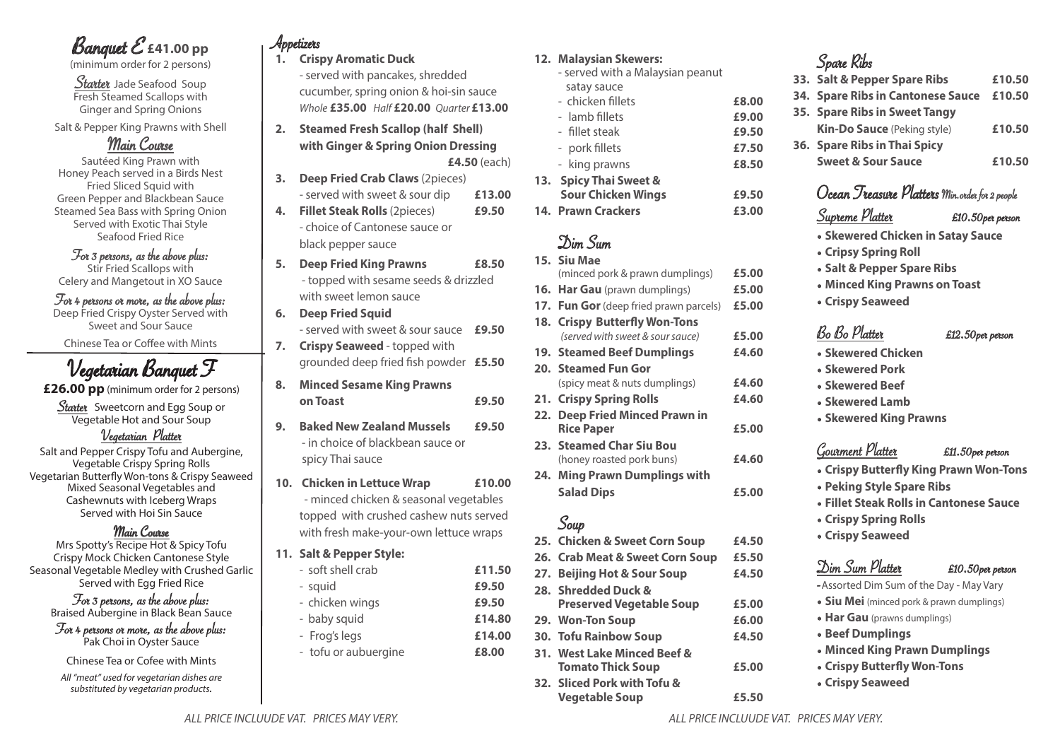# Banquet E **£41.00 pp**

(minimum order for 2 persons)

Starter Jade Seafood Soup Fresh Steamed Scallops with Ginger and Spring Onions

Salt & Pepper King Prawns with Shell

## Main Course

Sautéed King Prawn with Honey Peach served in a Birds Nest Fried Sliced Squid with Green Pepper and Blackbean Sauce Steamed Sea Bass with Spring Onion Served with Exotic Thai Style Seafood Fried Rice

For 3 persons, as the above plus: Stir Fried Scallops with

Celery and Mangetout in XO Sauce

#### For 4 persons or more, as the above plus: Deep Fried Crispy Oyster Served with Sweet and Sour Sauce

Chinese Tea or Coffee with Mints

# Vegetarian Banquet F

**£26.00 pp** (minimum order for 2 persons)

Starter Sweetcorn and Egg Soup or Vegetable Hot and Sour Soup

#### Vegetarian Platter

Salt and Pepper Crispy Tofu and Aubergine, Vegetable Crispy Spring Rolls Vegetarian Butterfly Won-tons & Crispy Seaweed Mixed Seasonal Vegetables and Cashewnuts with Iceberg Wraps Served with Hoi Sin Sauce

### Main Course

Mrs Spotty's Recipe Hot & Spicy Tofu Crispy Mock Chicken Cantonese Style Seasonal Vegetable Medley with Crushed Garlic Served with Egg Fried Rice

For 3 persons, as the above plus: Braised Aubergine in Black Bean Sauce

For 4 persons or more, as the above plus: Pak Choi in Oyster Sauce

Chinese Tea or Cofee with Mints

*All "meat" used for vegetarian dishes are substituted by vegetarian products.*

# Appetizers

**1. Crispy Aromatic Duck**

- served with pancakes, shredded cucumber, spring onion & hoi-sin sauce *Whole* **£35.00** *Half* **£20.00** *Quarter* **£13.00**

- **2. Steamed Fresh Scallop (half Shell) with Ginger & Spring Onion Dressing £4.50** (each)
- **3. Deep Fried Crab Claws** (2pieces)
- served with sweet & sour dip **£13.00 4. Fillet Steak Rolls** (2pieces) **£9.50**
	- choice of Cantonese sauce or black pepper sauce
- **5. Deep Fried King Prawns £8.50** - topped with sesame seeds & drizzled with sweet lemon sauce
- **6. Deep Fried Squid**  - served with sweet & sour sauce **£9.50 7. Crispy Seaweed** - topped with
- grounded deep fried fish powder **£5.50**
- **8. Minced Sesame King Prawns on Toast £9.50**
- **9. Baked New Zealand Mussels £9.50** - in choice of blackbean sauce or spicy Thai sauce
- **10. Chicken in Lettuce Wrap £10.00** - minced chicken & seasonal vegetables topped with crushed cashew nuts served with fresh make-your-own lettuce wraps
- **11. Salt & Pepper Style:** 
	- soft shell crab **£11.50** - squid **£9.50** - chicken wings **£9.50** - baby squid **£14.80** - Frog's legs **£14.00**
	- tofu or aubuergine **£8.00**

#### **12. Malaysian Skewers:**

- served with a Malaysian peanut satay sauce - chicken fillets **£8.00** - lamb fillets **£9.00** - fillet steak **£9.50**
- pork fillets **£7.50** - king prawns **£8.50**
- **13. Spicy Thai Sweet & Sour Chicken Wings £9.50**
- **14. Prawn Crackers £3.00**

# Dim Sum

- **15. Siu Mae**  (minced pork & prawn dumplings) **£5.00 16. Har Gau** (prawn dumplings) **£5.00 17. Fun Gor**(deep fried prawn parcels) **£5.00 18. Crispy Butterfly Won-Tons** *(served with sweet & sour sauce)* **£5.00 19. Steamed Beef Dumplings £4.60 20. Steamed Fun Gor**  (spicy meat & nuts dumplings) **£4.60 21. Crispy Spring Rolls £4.60 22. Deep Fried Minced Prawn in Rice Paper £5.00 23. Steamed Char Siu Bou**
- (honey roasted pork buns) **£4.60 24. Ming Prawn Dumplings with** 
	- **Salad Dips £5.00**

## Soup

- **25. Chicken & Sweet Corn Soup £4.50**
- **26. Crab Meat & Sweet Corn Soup £5.50 27. Beijing Hot & Sour Soup £4.50**
- **28. Shredded Duck &**
- **Preserved Vegetable Soup £5.00 29. Won-Ton Soup £6.00**

**Vegetable Soup £5.50**

- **30. Tofu Rainbow Soup £4.50**
- **31. West Lake Minced Beef & Tomato Thick Soup £5.00 32. Sliced Pork with Tofu &**
- 
- Spare Ribs **33. Salt & Pepper Spare Ribs £10.50 34. Spare Ribs in Cantonese Sauce £10.50 35. Spare Ribs in Sweet Tangy Kin-Do Sauce** (Peking style) **£10.50 36. Spare Ribs in Thai Spicy Sweet & Sour Sauce £10.50**

## Ocean Treasure Platters Min. order for 2 people

## Supreme Platter £10.50per person

- **Skewered Chicken in Satay Sauce**
- **Cripsy Spring Roll**
- **Salt & Pepper Spare Ribs**
- **Minced King Prawns on Toast**
- **Crispy Seaweed**

## Bo Bo Platter £12.50per person

- **Skewered Chicken**
- **Skewered Pork**
- **Skewered Beef**
- **Skewered Lamb**
- **Skewered King Prawns**

## Gourment Platter £11.50per person

- **Crispy Butterfly King Prawn Won-Tons**
- **Peking Style Spare Ribs**
- **Fillet Steak Rolls in Cantonese Sauce**
- **Crispy Spring Rolls**
- **Crispy Seaweed**

## Dim Sum Platter £10.50per person

-Assorted Dim Sum of the Day - May Vary

- **Siu Mei** (minced pork & prawn dumplings)
- **Har Gau** (prawns dumplings)
- **Beef Dumplings**
- **Minced King Prawn Dumplings**
- **Crispy Butterfly Won-Tons**
- **Crispy Seaweed**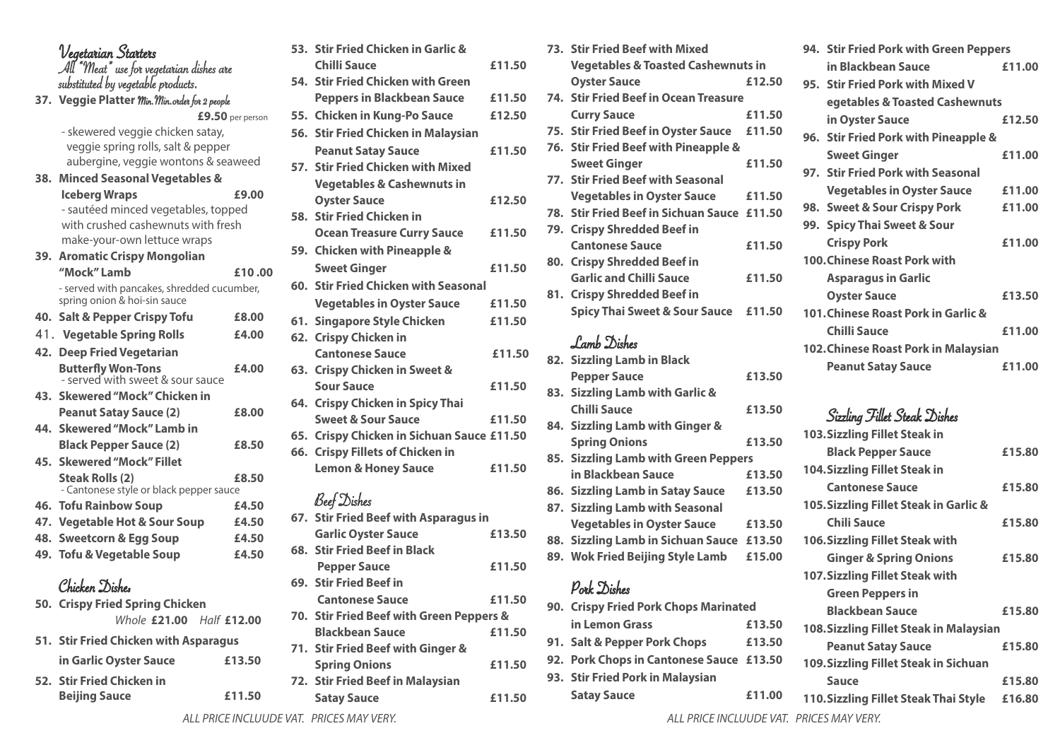### Vegetarian Starters All "Meat" use for vegetarian dishes are substituted by vegetable products.

**37. Veggie Platter** Min.Min.order for 2 people **£9.50** per person

> - skewered veggie chicken satay, veggie spring rolls, salt & pepper aubergine, veggie wontons & seaweed

| 38. Minced Seasonal Vegetables &                                           |                                         |
|----------------------------------------------------------------------------|-----------------------------------------|
| <b>Iceberg Wraps</b>                                                       | £9.00                                   |
| - sautéed minced vegetables, topped                                        |                                         |
| with crushed cashewnuts with fresh                                         |                                         |
| make-your-own lettuce wraps                                                |                                         |
| 39. Aromatic Crispy Mongolian                                              |                                         |
| "Mock" Lamb                                                                | £10.00                                  |
| - served with pancakes, shredded cucumber,<br>spring onion & hoi-sin sauce |                                         |
| 40. Salt & Pepper Crispy Tofu                                              | £8.00                                   |
| 41. Vegetable Spring Rolls                                                 | £4.00                                   |
| 42. Deep Fried Vegetarian                                                  |                                         |
| <b>Butterfly Won-Tons</b><br>- served with sweet & sour sauce              | £4.00                                   |
| 43. Skewered "Mock" Chicken in                                             |                                         |
| <b>Peanut Satay Sauce (2)</b>                                              | £8.00                                   |
| 44. Skewered "Mock" Lamb in                                                |                                         |
| <b>Black Pepper Sauce (2)</b>                                              | £8.50                                   |
| 45. Skewered "Mock" Fillet                                                 |                                         |
| <b>Steak Rolls (2)</b>                                                     | £8.50                                   |
| <b>46. Tofu Rainbow Soup</b>                                               | £4.50                                   |
| 47. Vegetable Hot & Sour Soup                                              | £4.50                                   |
| 48. Sweetcorn & Egg Soup                                                   | £4.50                                   |
| 49. Tofu & Vegetable Soup                                                  | £4.50                                   |
| Chicken Dishes                                                             |                                         |
| 50. Crispy Fried Spring Chicken                                            |                                         |
|                                                                            | - Cantonese style or black pepper sauce |

| Whole £21.00 Half £12.00              |        |
|---------------------------------------|--------|
| 51. Stir Fried Chicken with Asparagus |        |
| in Garlic Oyster Sauce                | £13.50 |
| 52. Stir Fried Chicken in             |        |
| <b>Beijing Sauce</b>                  | £11.50 |

|     | 53. Stir Fried Chicken in Garlic &         |        |
|-----|--------------------------------------------|--------|
|     | Chilli Sauce                               | £11.50 |
|     | 54. Stir Fried Chicken with Green          |        |
|     | <b>Peppers in Blackbean Sauce</b>          | £11.50 |
|     | 55. Chicken in Kung-Po Sauce               | £12.50 |
|     | 56. Stir Fried Chicken in Malaysian        |        |
|     | <b>Peanut Satay Sauce</b>                  | £11.50 |
|     | 57. Stir Fried Chicken with Mixed          |        |
|     | <b>Vegetables &amp; Cashewnuts in</b>      |        |
|     | <b>Oyster Sauce</b>                        | £12.50 |
|     | 58. Stir Fried Chicken in                  |        |
|     | <b>Ocean Treasure Curry Sauce</b>          | £11.50 |
|     | 59. Chicken with Pineapple &               |        |
|     | <b>Sweet Ginger</b>                        | £11.50 |
|     | 60. Stir Fried Chicken with Seasonal       |        |
|     | <b>Vegetables in Oyster Sauce</b>          | £11.50 |
|     | 61. Singapore Style Chicken                | £11.50 |
|     | 62. Crispy Chicken in                      |        |
|     | <b>Cantonese Sauce</b>                     | £11.50 |
|     | 63. Crispy Chicken in Sweet &              |        |
|     | <b>Sour Sauce</b>                          | £11.50 |
|     | 64. Crispy Chicken in Spicy Thai           |        |
|     | <b>Sweet &amp; Sour Sauce</b>              | £11.50 |
|     | 65. Crispy Chicken in Sichuan Sauce £11.50 |        |
|     | 66. Crispy Fillets of Chicken in           |        |
|     | <b>Lemon &amp; Honey Sauce</b>             | £11.50 |
|     | <b>Beef</b> Dishes                         |        |
|     | 67. Stir Fried Beef with Asparagus in      |        |
|     | <b>Garlic Oyster Sauce</b>                 | £13.50 |
| 68. | <b>Stir Fried Beef in Black</b>            |        |
|     |                                            |        |

| ice     | £11.50              | 79. Crispy Shredded Beef in                 |        |
|---------|---------------------|---------------------------------------------|--------|
| Ľ       |                     | <b>Cantonese Sauce</b>                      | £11.50 |
|         | £11.50              | 80. Crispy Shredded Beef in                 |        |
| asonal  |                     | <b>Garlic and Chilli Sauce</b>              | £11.50 |
|         |                     | 81. Crispy Shredded Beef in                 |        |
| ce      | £11.50              | <b>Spicy Thai Sweet &amp; Sour Sauce</b>    | £11.50 |
|         | £11.50              |                                             |        |
|         |                     | Lamb Dishes                                 |        |
|         | £11.50              | 82. Sizzling Lamb in Black                  |        |
|         |                     | <b>Pepper Sauce</b>                         | £13.50 |
|         | £11.50              | 83. Sizzling Lamb with Garlic &             |        |
| hai     |                     | <b>Chilli Sauce</b>                         | £13.50 |
|         | £11.50              | 84. Sizzling Lamb with Ginger &             |        |
|         | <b>Sauce £11.50</b> | <b>Spring Onions</b>                        | £13.50 |
| 'n      |                     | 85. Sizzling Lamb with Green Peppers        |        |
|         | £11.50              | in Blackbean Sauce                          | £13.50 |
|         |                     | 86. Sizzling Lamb in Satay Sauce            | £13.50 |
|         |                     | 87. Sizzling Lamb with Seasonal             |        |
| agus in |                     | <b>Vegetables in Oyster Sauce</b>           | £13.50 |
|         | £13.50              | 88. Sizzling Lamb in Sichuan Sauce £13.50   |        |
|         |                     | 89. Wok Fried Beijing Style Lamb            | £15.00 |
|         | £11.50              |                                             |        |
|         |                     | Pork Dishes                                 |        |
|         | £11.50              | <b>90 Cricny Fried Dork Chone Marinated</b> |        |

**73. Stir Fried Beef with Mixed** 

**74. Stir Fried Beef in Ocean Treasure** 

**76. Stir Fried Beef with Pineapple &** 

**77. Stir Fried Beef with Seasonal** 

**Vegetables & Toasted Cashewnuts in Oyster Sauce £12.50**

**Curry Sauce £11.50 75. Stir Fried Beef in Oyster Sauce £11.50**

**Sweet Ginger £11.50**

**Vegetables in Oyster Sauce £11.50 78. Stir Fried Beef in Sichuan Sauce £11.50**

| <b>POIK JUSHES</b>                       |        |  |  |
|------------------------------------------|--------|--|--|
| 90. Crispy Fried Pork Chops Marinated    |        |  |  |
| in Lemon Grass                           | £13.50 |  |  |
| 91. Salt & Pepper Pork Chops             | £13.50 |  |  |
| 92. Pork Chops in Cantonese Sauce £13.50 |        |  |  |
| 93. Stir Fried Pork in Malaysian         |        |  |  |
| <b>Satay Sauce</b>                       | £11.00 |  |  |

|  | 94. Stir Fried Pork with Green Peppers |        |
|--|----------------------------------------|--------|
|  | in Blackbean Sauce                     | £11.00 |
|  | 95. Stir Fried Pork with Mixed V       |        |
|  | egetables & Toasted Cashewnuts         |        |
|  | in Oyster Sauce                        | £12.50 |
|  | 96. Stir Fried Pork with Pineapple &   |        |
|  | <b>Sweet Ginger</b>                    | £11.00 |
|  | 97. Stir Fried Pork with Seasonal      |        |
|  | <b>Vegetables in Oyster Sauce</b>      | £11.00 |
|  | 98. Sweet & Sour Crispy Pork           | £11.00 |
|  | 99. Spicy Thai Sweet & Sour            |        |
|  | <b>Crispy Pork</b>                     | £11.00 |
|  | <b>100. Chinese Roast Pork with</b>    |        |
|  | <b>Asparagus in Garlic</b>             |        |
|  | <b>Oyster Sauce</b>                    | £13.50 |
|  | 101. Chinese Roast Pork in Garlic &    |        |
|  | <b>Chilli Sauce</b>                    | £11.00 |
|  | 102. Chinese Roast Pork in Malaysian   |        |
|  | <b>Peanut Satay Sauce</b>              | £11.00 |

## Sizzling Fillet Steak Dishes

| <b>103. Sizzling Fillet Steak in</b>    |        |
|-----------------------------------------|--------|
| <b>Black Pepper Sauce</b>               | £15.80 |
| <b>104.Sizzling Fillet Steak in</b>     |        |
| <b>Cantonese Sauce</b>                  | £15.80 |
| 105. Sizzling Fillet Steak in Garlic &  |        |
| Chili Sauce                             | £15.80 |
| 106. Sizzling Fillet Steak with         |        |
| <b>Ginger &amp; Spring Onions</b>       | £15.80 |
| <b>107.Sizzling Fillet Steak with</b>   |        |
| <b>Green Peppers in</b>                 |        |
| <b>Blackbean Sauce</b>                  | £15.80 |
| 108. Sizzling Fillet Steak in Malaysian |        |
| <b>Peanut Satay Sauce</b>               | £15.80 |
| 109. Sizzling Fillet Steak in Sichuan   |        |
| Sauce                                   | £15.80 |
| 110. Sizzling Fillet Steak Thai Style   | £16.80 |
| DDICEC MANULEDV                         |        |

**Pepper Sauce 69. Stir Fried Beef in Cantonese Sauce** 

**70. Stir Fried Beef with Green Peppers &** 

**71. Stir Fried Beef with Ginger &** 

**72. Stir Fried Beef in Malaysian** 

**Blackbean Sauce £11.50**

**Spring Onions £11.50**

**Satay Sauce £11.50**

*ALL PRICE INCLUUDE VAT. PRICES MAY VERY. ALL PRICE INCLUUDE VAT. PRICES MAY VERY.*